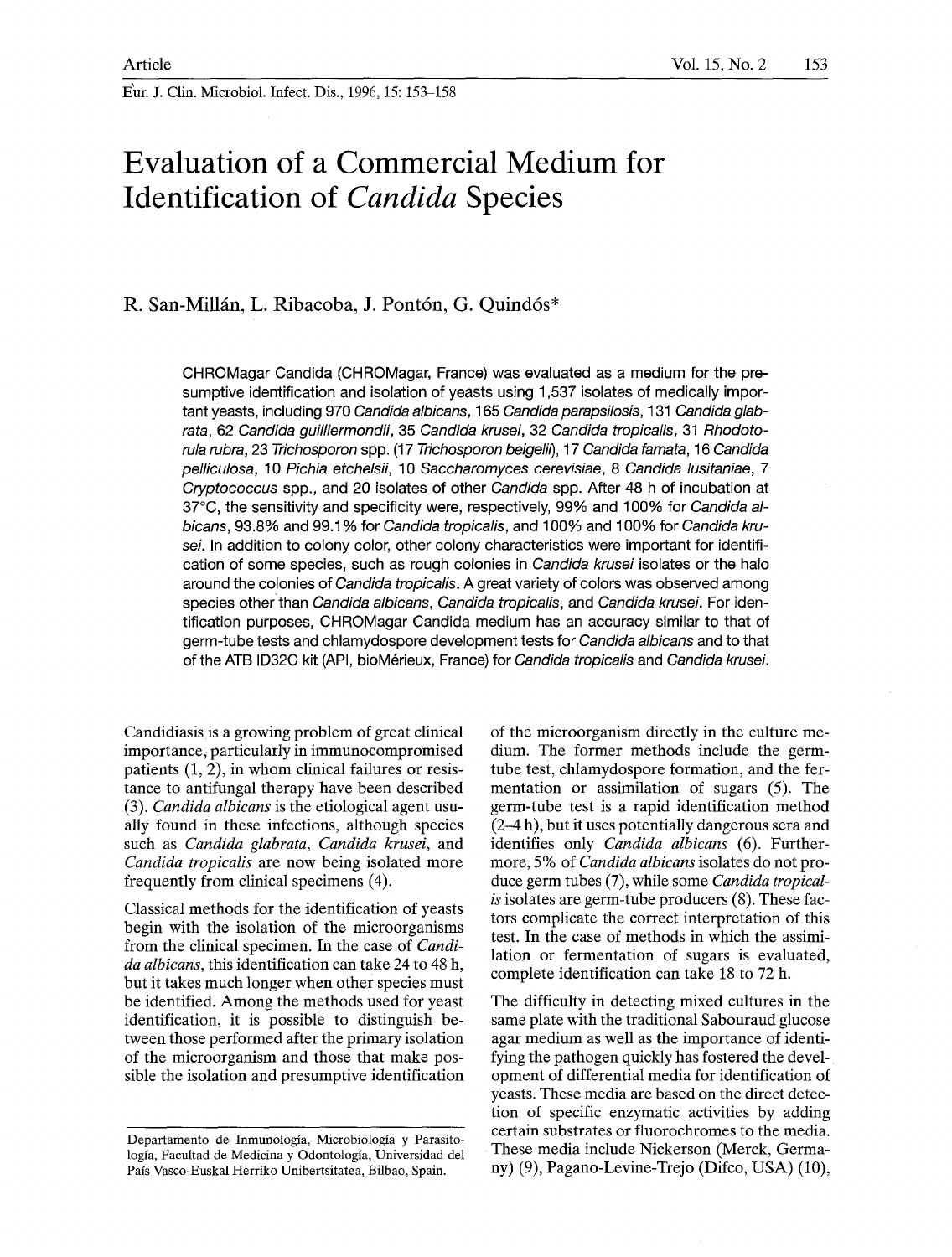E'ur. J. Clin. Microbiol. Infect. Dis., 1996, 15:153-158

# **Evaluation of a Commercial Medium for Identification of** *Candida* **Species**

# **R. San-Millfin, L. Ribacoba, J. Pont6n, G. Quind6s\***

CHROMagar Candida (CHROMagar, France) was evaluated as a medium for the presumptive identification and isolation of yeasts using 1,537 isolates of medically important yeasts, including 970 *Candida albicans,* 165 *Candida parapsilosis,* 131 *Candida glabrata,* 62 *Candida guilliermondii,* 35 *Candida krusei,* 32 *Candida tropicalis,* 31 *Rhodotorula rubra,* 23 *Trichosporon* spp. (17 *Trichosporon beigelil), 17 Candida famata, 16 Candida pelliculosa, 10 Pichia etchelsfi, 10 Saccharomyces cerevisiae, 8 Candida lusitaniae, 7 Cryptococcus* spp., and 20 isolates of other *Candida* spp. After 48 h of incubation at 37~ the sensitivity and specificity were, respectively, 99% and 100% for *Candida albicans,* 93.8% and 99.1% for *Candida tropicalis,* and 100% and 100% for *Candida krusei.* In addition to colony color, other colony characteristics were important for identification of some species, such as rough colonies in *Candida krusei* isolates or the halo around the colonies of *Candida tropicalis.* A great variety of colors was observed among species other than *Candida albicans, Candida tropicalis, and Candida krusei.* For identification purposes, CHROMagar Candida medium has an accuracy similar to that of germ-tube tests and chlamydospore development tests for *Candida albicans* and to that of the ATB ID32C kit (API, bioM6deux, France) for *Candida tropicalis* and *Candida krusei.* 

Candidiasis is a growing problem of great clinical importance, particularly in immunocompromised patients (1, 2), in whom clinical failures or resistance to antifungal therapy have been described (3). *Candida albicans* is the etiological agent usually found in these infections, although species such as *Candida glabrata, Candida krusei,* and *Candida tropicalis* are now being isolated more frequently from clinical specimens (4).

Classical methods for the identification of yeasts begin with the isolation of the microorganisms from the clinical specimen. In the case of *Candida albicans,* this identification can take 24 to 48 h, but it takes much longer when other species must be identified. Among the methods used for yeast identification, it is possible to distinguish between those performed after the primary isolation of the microorganism and those that make possible the isolation and presumptive identification

of the microorganism directly in the culture medium. The former methods include the germtube test, chlamydospore formation, and the fermentation or assimilation of sugars (5). The germ-tube test is a rapid identification method (2-4 h), but it uses potentially dangerous sera and identifies only *Candida albicans* (6). Furthermore, 5% of *Candida albicans* isolates do not produce germ tubes (7), while some *Candida tropicalis* isolates are germ-tube producers (8). These factors complicate the correct interpretation of this test. In the case of methods in which the assimilation or fermentation of sugars is evaluated, complete identification can take 18 to 72 h.

The difficulty in detecting mixed cultures in the same plate with the traditional Sabouraud glucose agar medium as well as the importance of identifying the pathogen quickly has fostered the development of differential media for identification of yeasts. These media are based on the direct detection of specific enzymatic activities by adding certain substrates or fluorochromes to the media. These media include Nickerson (Merck, Germany) (9), Pagano-Levine-Trejo (Difco, USA) (10),

Departamento de Inmunología, Microbiología y Parasitologfa, Facultad de Medicina y Odontologia, Universidad del País Vasco-Euskal Herriko Unibertsitatea, Bilbao, Spain.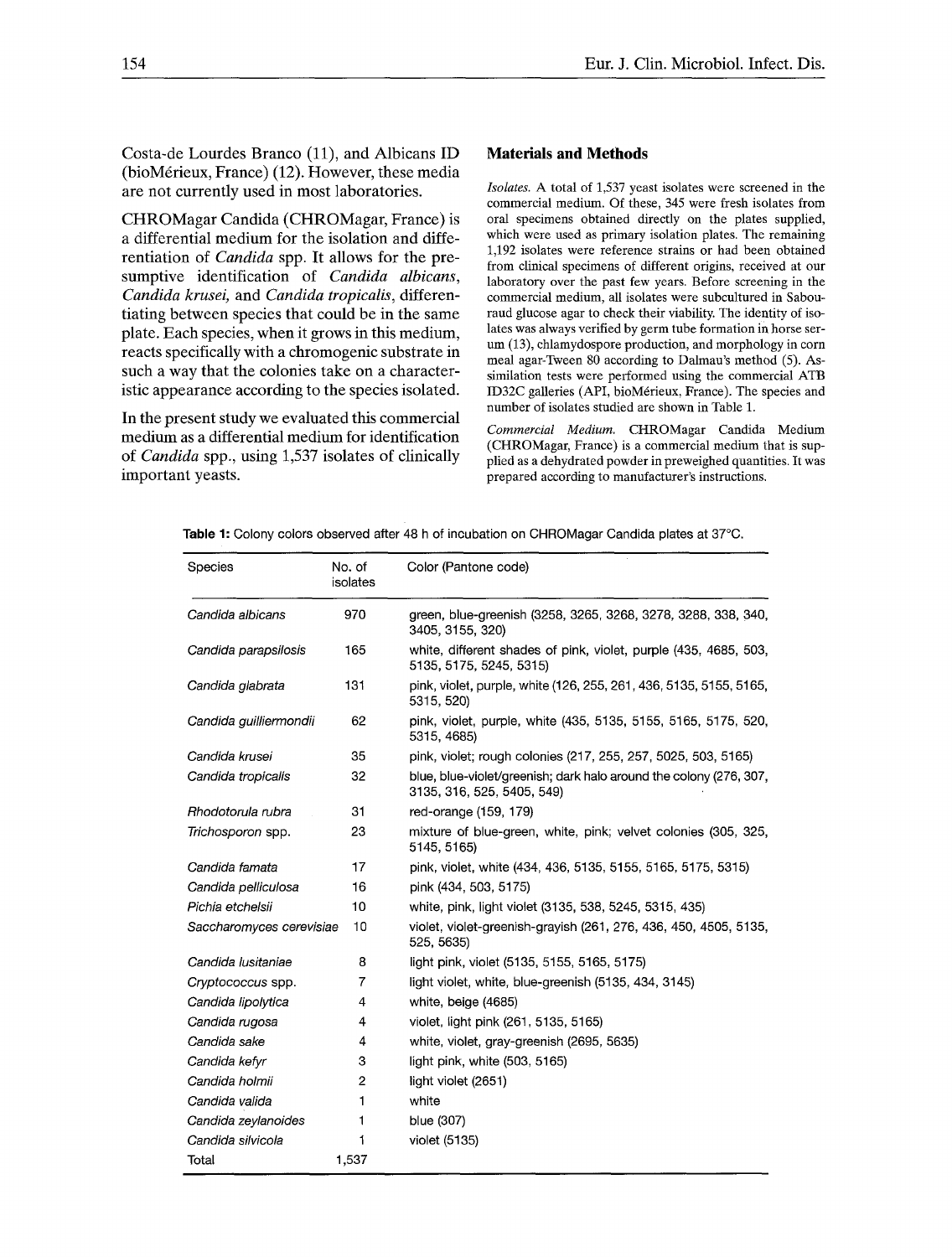Costa-de Lourdes Branco (11), and Albicans ID  $(bioM$ érieux, France) (12). However, these media are not currently used in most laboratories.

CHROMagar Candida (CHROMagar, France) is a differential medium for the isolation and differentiation of *Candida* spp. It allows for the presumptive identification of *Candida albicans, Candida krusei,* and *Candida tropicalis,* differentiating between species that could be in the same plate. Each species, when it grows in this medium, reacts specifically with a chromogenic substrate in such a way that the colonies take on a characteristic appearance according to the species isolated.

In the present study we evaluated this commercial medium as a differential medium for identification of *Candida* spp., using 1,537 isolates of clinically important yeasts.

## **Materials and Methods**

*Isolates.* A total of 1,537 yeast isolates were screened in the commercial medium. Of these, 345 were fresh isolates from oral specimens obtained directly on the plates supplied, which were used as primary isolation plates. The remaining 1,192 isolates were reference strains or had been obtained from clinical specimens of different origins, received at our laboratory over the past few years. Before screening in the commercial medium, all isolates were subcultured in Sabouraud glucose agar to check their viability. The identity of isolates was always verified by germ tube formation in horse serum (13), chlamydospore production, and morphology in corn meal agar-Tween 80 according to Dalmau's method (5). Assimilation tests were performed using the commercial ATB ID32C galleries (API, bioMérieux, France). The species and number of isolates studied are shown in Table 1.

*Commercial Medium.* CHROMagar Candida Medium (CHROMagar, France) is a commercial medium that is supplied as a dehydrated powder in preweighed quantities. It was prepared according to manufacturer's instructions,

Table 1: Colony colors observed after 48 h of incubation on CHROMagar Candida plates at 37°C.

| Species                  | No. of<br>isolates | Color (Pantone code)                                                                             |
|--------------------------|--------------------|--------------------------------------------------------------------------------------------------|
| Candida albicans         | 970                | green, blue-greenish (3258, 3265, 3268, 3278, 3288, 338, 340,<br>3405, 3155, 320)                |
| Candida parapsilosis     | 165                | white, different shades of pink, violet, purple (435, 4685, 503,<br>5135, 5175, 5245, 5315)      |
| Candida glabrata         | 131                | pink, violet, purple, white (126, 255, 261, 436, 5135, 5155, 5165,<br>5315, 520)                 |
| Candida guilliermondii   | 62                 | pink, violet, purple, white (435, 5135, 5155, 5165, 5175, 520,<br>5315, 4685)                    |
| Candida krusei           | 35                 | pink, violet; rough colonies (217, 255, 257, 5025, 503, 5165)                                    |
| Candida tropicalis       | 32                 | blue, blue-violet/greenish; dark halo around the colony (276, 307,<br>3135, 316, 525, 5405, 549) |
| Rhodotorula rubra        | 31                 | red-orange (159, 179)                                                                            |
| Trichosporon spp.        | 23                 | mixture of blue-green, white, pink; velvet colonies (305, 325,<br>5145, 5165)                    |
| Candida famata           | 17                 | pink, violet, white (434, 436, 5135, 5155, 5165, 5175, 5315)                                     |
| Candida pelliculosa      | 16                 | pink (434, 503, 5175)                                                                            |
| Pichia etchelsii         | 10                 | white, pink, light violet (3135, 538, 5245, 5315, 435)                                           |
| Saccharomyces cerevisiae | 10                 | violet, violet-greenish-grayish (261, 276, 436, 450, 4505, 5135,<br>525, 5635)                   |
| Candida Iusitaniae       | 8                  | light pink, violet (5135, 5155, 5165, 5175)                                                      |
| Cryptococcus spp.        | 7                  | light violet, white, blue-greenish (5135, 434, 3145)                                             |
| Candida lipolytica       | 4                  | white, beige (4685)                                                                              |
| Candida rugosa           | 4                  | violet, light pink (261, 5135, 5165)                                                             |
| Candida sake             | 4                  | white, violet, gray-greenish (2695, 5635)                                                        |
| Candida kefyr            | 3                  | light pink, white (503, 5165)                                                                    |
| Candida holmii           | 2                  | light violet (2651)                                                                              |
| Candida valida           | 1                  | white                                                                                            |
| Candida zeylanoides      | 1                  | blue (307)                                                                                       |
| Candida silvicola        | 1                  | violet (5135)                                                                                    |
| Total                    | 1,537              |                                                                                                  |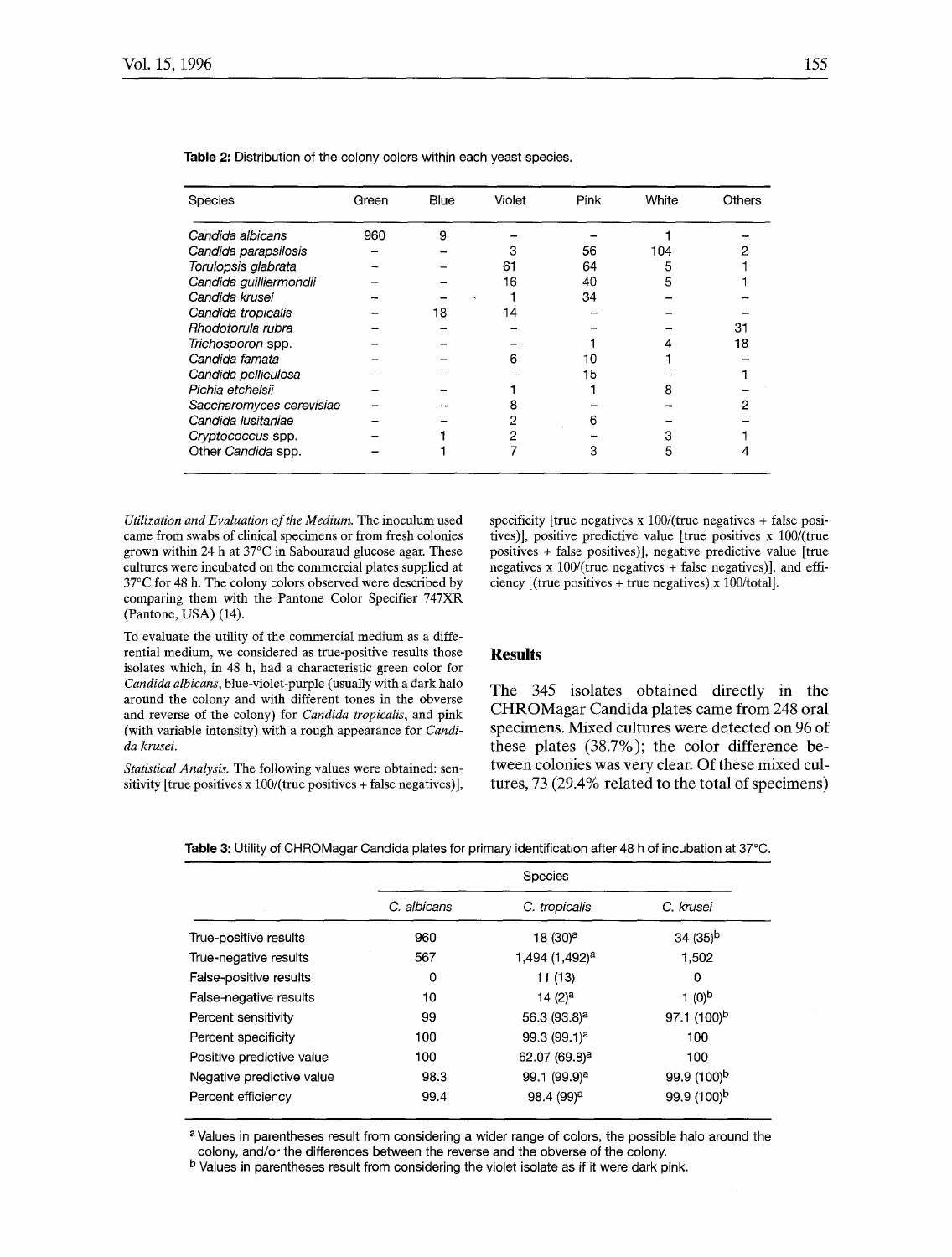| Species                  | Green | Blue | Violet | Pink | White | Others |
|--------------------------|-------|------|--------|------|-------|--------|
| Candida albicans         | 960   | 9    |        |      |       |        |
| Candida parapsilosis     |       |      |        | 56   | 104   |        |
| Torulopsis glabrata      |       |      | 61     | 64   | 5     |        |
| Candida guilliermondii   |       |      | 16     | 40   | 5     |        |
| Candida krusei           |       |      |        | 34   |       |        |
| Candida tropicalis       |       | 18   | 14     |      |       |        |
| Rhodotorula rubra        |       |      |        |      |       | 31     |
| Trichosporon spp.        |       |      |        |      |       | 18     |
| Candida famata           |       |      | ค      | 10   |       |        |
| Candida pelliculosa      |       |      |        | 15   |       |        |
| Pichia etchelsii         |       |      |        |      |       |        |
| Saccharomyces cerevisiae |       |      |        |      |       |        |
| Candida Iusitaniae       |       |      |        | 6    |       |        |
| Cryptococcus spp.        |       |      |        |      |       |        |
| Other Candida spp.       |       |      |        | 3    | h     |        |

Table 2: Distribution of the colony colors within each yeast species.

*Utilization and Evaluation of the Medium.* The inoculum used came from swabs of clinical specimens or from fresh colonies grown within 24 h at  $37^{\circ}$ C in Sabouraud glucose agar. These cultures were incubated on the commercial plates supplied at 37°C for 48 h. The colony colors observed were described by comparing them with the Pantone Color Specifier 747XR (Pantone, USA) (14).

To evaluate the utility of the commercial medium as a differential medium, we considered as true-positive results those isolates which, in 48 h, had a characteristic green color for *Candida albicans,* blue-violet-purple (usually with a dark halo around the colony and with different tones in the obverse and reverse of the colony) for *Candida tropicalis*, and pink (with variable intensity) with a rough appearance for *Candida krusei.* 

*Statistical Analysis.* The following values were obtained: sensitivity [true positives x 100/(true positives + false negatives)], specificity [true negatives  $x$  100/(true negatives + false positives)], positive predictive value [true positives x lO0/(true positives + false positives)], negative predictive value [true negatives x  $100/$ (true negatives + false negatives)], and efficiency  $[$ (true positives + true negatives) x 100/total].

#### **Results**

The 345 isolates obtained directly in the CHROMagar Candida plates came from 248 oral specimens. Mixed cultures were detected on 96 of these plates (38.7%); the color difference between colonies was very clear. Of these mixed cultures, 73 (29.4% related to the total of specimens)

|                           | <b>Species</b> |                            |                         |  |  |
|---------------------------|----------------|----------------------------|-------------------------|--|--|
|                           | C. albicans    | C. tropicalis              | C. krusei               |  |  |
| True-positive results     | 960            | 18 (30) <sup>a</sup>       | $34(35)^{b}$            |  |  |
| True-negative results     | 567            | 1,494 (1,492) <sup>a</sup> | 1,502                   |  |  |
| False-positive results    | 0              | 11 (13)                    | 0                       |  |  |
| False-negative results    | 10             | 14 (2) <sup>a</sup>        | $1(0)^b$                |  |  |
| Percent sensitivity       | 99             | 56.3 (93.8) <sup>a</sup>   | 97.1 $(100)^b$          |  |  |
| Percent specificity       | 100            | 99.3(99.1) <sup>a</sup>    | 100                     |  |  |
| Positive predictive value | 100            | 62.07 (69.8) <sup>a</sup>  | 100                     |  |  |
| Negative predictive value | 98.3           | 99.1 (99.9) <sup>a</sup>   | 99.9 (100) <sup>b</sup> |  |  |
| Percent efficiency        | 99.4           | 98.4 (99) <sup>a</sup>     | 99.9 (100) <sup>b</sup> |  |  |

Table 3: Utility of CHROMagar Candida plates for primary identification after 48 h of incubation at 37°C.

a Values in parentheses result from considering a wider range of colors, the possible halo around the colony, and/or the differences between the reverse and the obverse of the colony.

b Values in parentheses result from considering the violet isolate as if it were dark pink.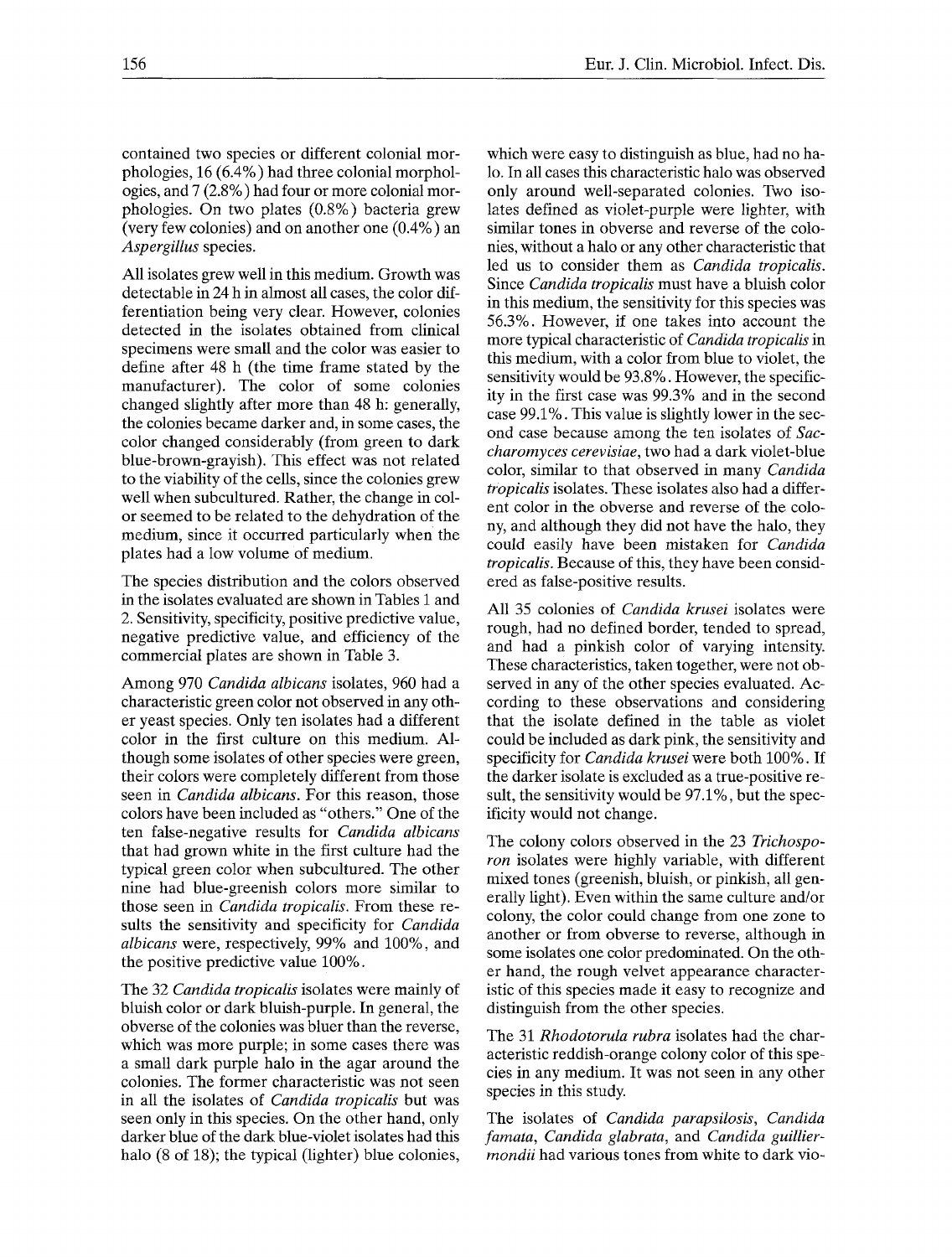contained two species or different colonial morphologies, 16 (6.4%) had three colonial morphologies, and 7 (2.8%) had four or more colonial morphologies. On two plates (0.8%) bacteria grew (very few colonies) and on another one (0.4%) an *Aspergillus* species.

All isolates grew well in this medium. Growth was detectable in 24 h in almost all cases, the color differentiation being very clear. However, colonies detected in the isolates obtained from clinical specimens were small and the color was easier to define after 48 h (the time frame stated by the manufacturer). The color of some colonies changed slightly after more than 48 h: generally, the colonies became darker and, in some cases, the color changed considerably (from green to dark blue-brown-grayish). This effect was not related to the viability of the cells, since the colonies grew well when subcultured. Rather, the change in color seemed to be related to the dehydration of the medium, since it occurred particularly when the plates had a low volume of medium.

The species distribution and the colors observed in the isolates evaluated are shown in Tables 1 and 2. Sensitivity, specificity, positive predictive value, negative predictive value, and efficiency of the commercial plates are shown in Table 3.

Among 970 *Candida albicans* isolates, 960 had a characteristic green color not observed in any other yeast species. Only ten isolates had a different color in the first culture on this medium. Although some isolates of other species were green, their colors were completely different from those seen in *Candida albicans.* For this reason, those colors have been included as "others." One of the ten false-negative results for *Candida albicans*  that had grown white in the first culture had the typical green color when subcultured. The other nine had blue-greenish colors more similar to those seen in *Candida tropicalis.* From these results the sensitivity and specificity for *Candida albicans* were, respectively, 99% and 100%, and the positive predictive value 100%.

The 32 *Candida tropicalis* isolates were mainly of bluish color or dark bluish-purple. In general, the obverse of the colonies was bluer than the reverse, which was more purple; in some cases there was a small dark purple halo in the agar around the colonies. The former characteristic was not seen in all the isolates of *Candida tropicalis* but was seen only in this species. On the other hand, only darker blue of the dark blue-violet isolates had this halo (8 of 18); the typical (lighter) blue colonies,

which were easy to distinguish as blue, had no halo. In all cases this characteristic halo was observed only around well-separated colonies. Two isolates defined as violet-purple were lighter, with similar tones in obverse and reverse of the colonies, without a halo or any other characteristic that led us to consider them as *Candida tropicalis.*  Since *Candida tropicalis* must have a bluish color in this medium, the sensitivity for this species was 56.3%. However, if one takes into account the more typical characteristic of *Candida tropicalis* in this medium, with a color from blue to violet, the sensitivity would be 93.8%. However, the specificity in the first case was 99.3% and in the second case 99.1%. This value is slightly lower in the second case because among the ten isolates of *Saccharornyces cerevisiae,* two had a dark violet-blue color, similar to that observed in many *Candida tropicalis* isolates. These isolates also had a different color in the obverse and reverse of the colony, and although they did not have the halo, they could easily have been mistaken for *Candida tropicalis.* Because of this, they have been considered as false-positive results.

All 35 colonies of *Candida krusei* isolates were rough, had no defined border, tended to spread, and had a pinkish color of varying intensity. These characteristics, taken together, were not observed in any of the other species evaluated. According to these observations and considering that the isolate defined in the table as violet could be included as dark pink, the sensitivity and specificity for *Candida krusei* were both 100%. If the darker isolate is excluded as a true-positive result, the sensitivity would be 97.1%, but the specificity would not change.

The colony colors observed in the 23 *Trichospoton* isolates were highly variable, with different mixed tones (greenish, bluish, or pinkish, all generally light). Even within the same culture and/or colony, the color could change from one zone to another or from obverse to reverse, although in some isolates one color predominated. On the other hand, the rough velvet appearance characteristic of this species made it easy to recognize and distinguish from the other species.

The 31 *Rhodotorula rubra* isolates had the characteristic reddish-orange colony color of this species in any medium. It was not seen in any other species in this study.

The isolates of *Candida parapsilosis, Candida farnata, Candida glabrata,* and *Candida guilliermondii* had various tones from white to dark vio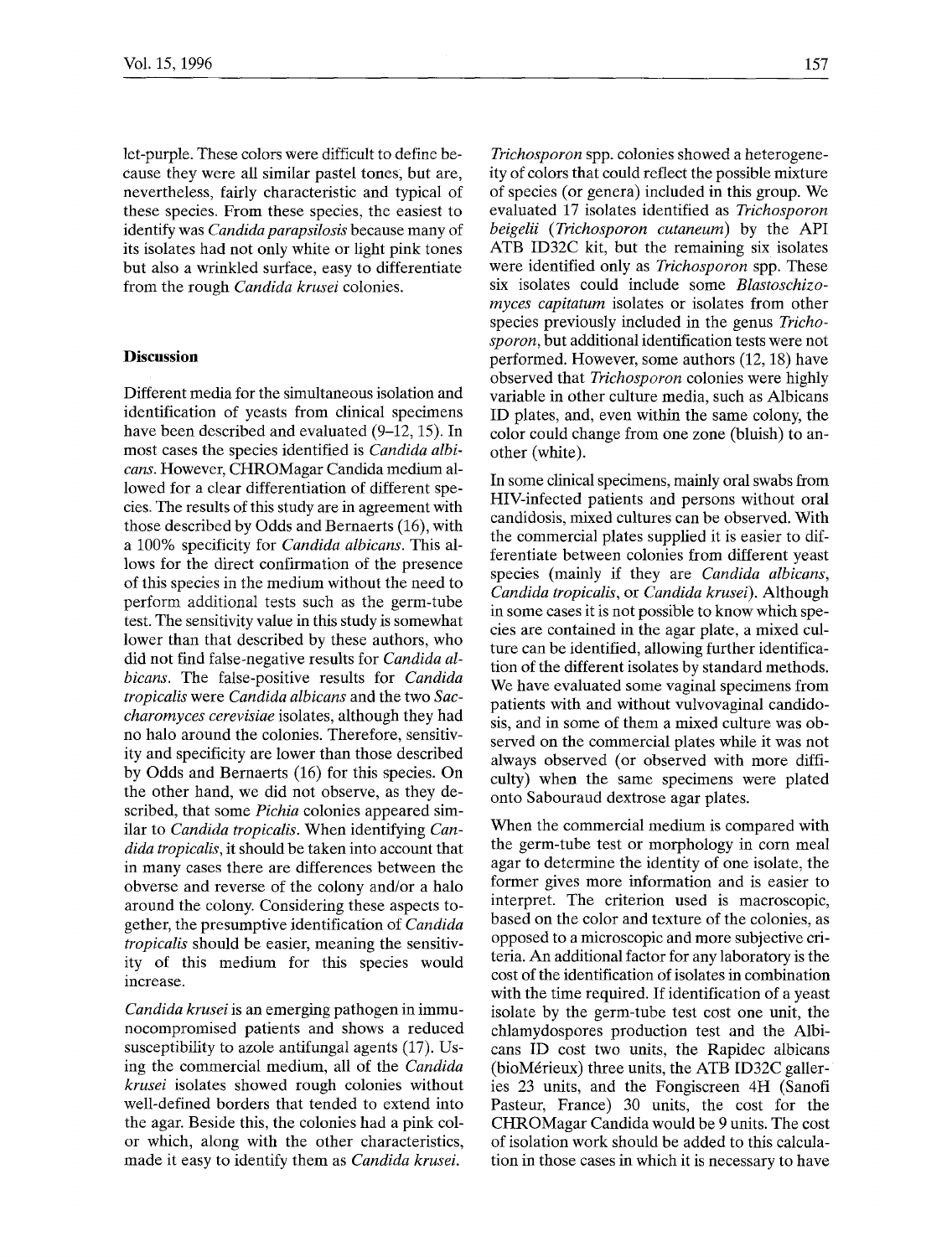let-purple. These colors were difficult to define because they were all similar pastel tones; but are, nevertheless, fairly characteristic and typical of these species. From these species, the easiest to identify was *Candida parapsilosis* because many of its isolates had not only white or light pink tones but also a wrinkled surface, easy to differentiate from the rough *Candida krusei* colonies.

## **Discussion**

Different media for the simultaneous isolation and identification of yeasts from clinical specimens have been described and evaluated (9–12, 15). In most cases the species identified is *Candida albicans.* However, CHROMagar Candida medium allowed for a clear differentiation of different species. The results of this study are in agreement with those described by Odds and Bernaerts (16), with a 100% specificity for *Candida albicans.* This allows for the direct confirmation of the presence of this species in the medium without the need to perform additional tests such as the germ-tube test. The sensitivity value in this study is somewhat lower than that described by these authors, who did not find false-negative results for *Candida albicans.* The false-positive results for *Candida tropicalis* were *Candida albicans* and the two *Saccharomyces cerevisiae* isolates, although they had no halo around the colonies. Therefore, sensitivity and specificity are lower than those described by Odds and Bernaerts (16) for this species. On the other hand, we did not observe, as they described, that some *Pichia* colonies appeared similar to *Candida tropicalis.* When identifying *Candida tropicalis,* it should be taken into account that in many cases there are differences between the obverse and reverse of the colony and/or a halo around the colony. Considering these aspects together, the presumptive identification of *Candida tropicalis* should be easier, meaning the sensitivity of this medium for this species would increase.

*Candida krusei* is an emerging pathogen in immunocompromised patients and shows a reduced susceptibility to azole antifungal agents (17). Using the commercial medium, all of the *Candida krusei* isolates showed rough colonies without well-defined borders that tended to extend into the agar. Beside this, the colonies had a pink color which, along with the other characteristics, made it easy to identify them as *Candida krusei.* 

*Trichosporon* spp. colonies showed a heterogeneity of colors that could reflect the possible mixture of species (or genera) included in this group. We evaluated 17 isolates identified as *Trichosporon beigelii (Trichosporon cutaneum)* by the API ATB ID32C kit, but the remaining six isolates were identified only as *Trichosporon* spp. These six isolates could include some *Blastoschizomyces capitatum* isolates or isolates from other species previously included in the genus *Trichosporon,* but additional identification tests were not performed. However, some authors (12, 18) have observed that *Trichosporon* colonies were highly variable in other culture media, such as Albicans ID plates, and, even within the same colony, the color could change from one zone (bluish) to another (white).

In some clinical specimens, mainly oral swabs from HIV-infected patients and persons without oral candidosis, mixed cultures can be observed. With the commercial plates supplied it is easier to differentiate between colonies from different yeast species (mainly if they are *Candida albicans, Candida tropicalis,* or *Candida krusei).* Although in some cases it is not possible to know which species are contained in the agar plate, a mixed culture can be identified, allowing further identification of the different isolates by standard methods. We have evaluated some vaginal specimens from patients with and without vulvovaginal candidosis, and in some of them a mixed culture was observed on the commercial plates while it was not always observed (or observed with more difficulty) when the same specimens were plated onto Sabouraud dextrose agar plates.

When the commercial medium is compared with the germ-tube test or morphology in corn meal agar to determine the identity of one isolate, the former gives more information and is easier to interpret. The criterion used is macroscopic, based on the color and texture of the colonies, as opposed to a microscopic and more subjective criteria. An additional factor for any laboratory is the cost of the identification of isolates in combination with the time required. If identification of a yeast isolate by the germ-tube test cost one unit, the chlamydospores production test and the Albicans ID cost two units, the Rapidec albicans (bioM6rieux) three units, the ATB ID32C galleries 23 units, and the Fongiscreen 4H (Sanofi Pasteur, France) 30 units, the cost for the CHROMagar Candida would be 9 units. The cost of isolation work should be added to this calculation in those cases in which it is necessary to have